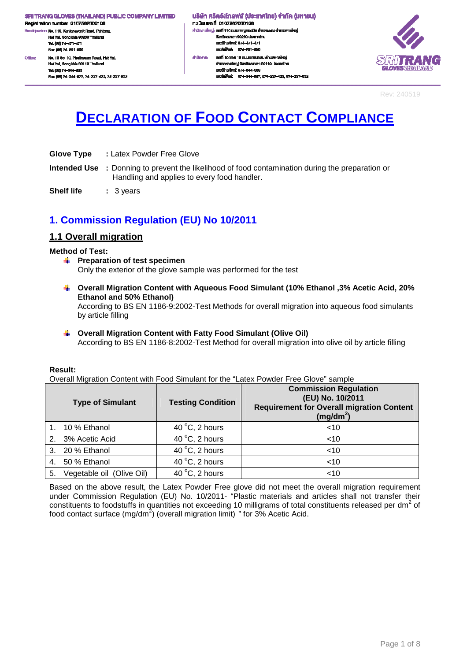Registration number 0107562000106 .<br>dquarter: No. 110, Kanjanavanit Road, Pahtong, H. Hat Yai, Songkhla 90230 Thailand Tel: (66) 74-471-471 Fex: (66) 74-291-650 No. 10 Soi 10, Phetkasern Road, Hat Yal, Office:

Hat Yai, Songkhla 90110 Thailar Tel: (66) 74-344-663 Fex: (66) 74-344-677, 74-237-423, 74-237-632

#### ้นธิษัท ศรีตรังโทลฟส์ (ประเทศไทย) จำกัด (มหาชน) กะเบียนเลงที่ 0107562000106 สำนักงานใหญ่: เสงที่ 110 ถนนกาญจนอนิช ด้านสพะดง อำเภอคาดใหญ่ งังหวัดสงพลา 90230 ประเทศไทย lueślns/Mrf: 074-471-471 เนอร์เฟิกล่ะ 074-201-650 ahūninu: เองที่ 10 ขอย 10 ถนนเพชรเกษม คำบลหาคใหญ่ อำเภอหาคใหญ่ จังหวัดสงขลา 90110 ประเทศไทย IUDS TrishWrf: 074-344-003

และเพื่อน่ะ 074-344-667 074-237-423 074-237-832



Rev: 240519

# **DECLARATION OF FOOD CONTACT COMPLIANCE**

| <b>Glove Type</b> | : Latex Powder Free Glove |
|-------------------|---------------------------|
|-------------------|---------------------------|

**Intended Use :** Donning to prevent the likelihood of food contamination during the preparation or Handling and applies to every food handler.

**Shelf life : 3 years** 

### **1. Commission Regulation (EU) No 10/2011**

### **1.1 Overall migration**

#### **Method of Test:**

- **Preparation of test specimen** Only the exterior of the glove sample was performed for the test
- **Overall Migration Content with Aqueous Food Simulant (10% Ethanol ,3% Acetic Acid, 20% Ethanol and 50% Ethanol)**  According to BS EN 1186-9:2002-Test Methods for overall migration into aqueous food simulants by article filling
- **Overall Migration Content with Fatty Food Simulant (Olive Oil)**  According to BS EN 1186-8:2002-Test Method for overall migration into olive oil by article filling

#### **Result:**

Overall Migration Content with Food Simulant for the "Latex Powder Free Glove" sample

|    | <b>Type of Simulant</b>   | <b>Testing Condition</b>          | <b>Commission Regulation</b><br>(EU) No. 10/2011<br><b>Requirement for Overall migration Content</b><br>$(mg/dm^2)$ |
|----|---------------------------|-----------------------------------|---------------------------------------------------------------------------------------------------------------------|
|    | 10 % Ethanol              | 40 $\degree$ C, 2 hours           | $<$ 10                                                                                                              |
| 2. | 3% Acetic Acid            | 40 $\degree$ C, 2 hours           | $<$ 10                                                                                                              |
|    | 3. 20 % Ethanol           | 40 $\mathrm{^{\circ}C}$ , 2 hours | $<$ 10                                                                                                              |
|    | 4. 50 % Ethanol           | 40 $\degree$ C, 2 hours           | $<$ 10                                                                                                              |
| 5. | Vegetable oil (Olive Oil) | 40 °C, 2 hours                    | $<$ 10                                                                                                              |

Based on the above result, the Latex Powder Free glove did not meet the overall migration requirement under Commission Regulation (EU) No. 10/2011- "Plastic materials and articles shall not transfer their constituents to foodstuffs in quantities not exceeding 10 milligrams of total constituents released per dm<sup>2</sup> of food contact surface (mg/dm<sup>2</sup>) (overall migration limit) " for 3% Acetic Acid.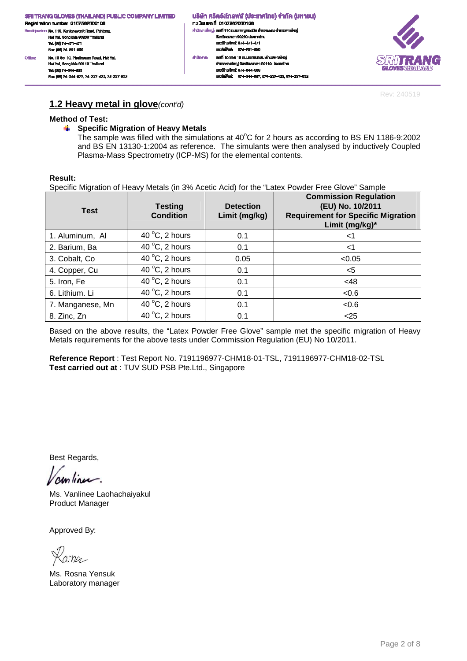้นธิษัท ศรีตรังโทลฟส์ (ประเทศไทย) จำกัด (มหาชน) n: เมียนเลงที่ 0107562000106 สำนักงานใหญ่: เสงที่ 110 ถนนกาญจนอนิช ด้านสพะดง อำเภอคาดใหญ่ จังหวัดสงหลา 90230 ประเทศไทย<br>เมอร์โทรศัพท์: 074-471-471 เนอร์เฟ็กล่ะ 074-291-650 เลฟที่ 10 ซอย 10 ถนนเพชรเกษม ดำนลหาดใหญ่ ahūninu: อำเภอหาคใหญ่ จังหวัดสงขลา 90110 ประเทศไทย IUDS TrishWrf: 074-344-003 เบอร์แพ็กซ์: 074-344-667, 074-237-423, 074-237-632



Rev: 240519

### **1.2 Heavy metal in glove**(cont'd)

#### **Method of Test:**

Fec: (66) 74-344-677, 74-237-423, 74-237-832

#### $\frac{1}{2}$ **Specific Migration of Heavy Metals**

The sample was filled with the simulations at  $40^{\circ}$ C for 2 hours as according to BS EN 1186-9:2002 and BS EN 13130-1:2004 as reference. The simulants were then analysed by inductively Coupled Plasma-Mass Spectrometry (ICP-MS) for the elemental contents.

#### **Result:**

Specific Migration of Heavy Metals (in 3% Acetic Acid) for the "Latex Powder Free Glove" Sample

| <b>Test</b>      | <b>Testing</b><br><b>Condition</b> | <b>Detection</b><br>Limit (mg/kg) | <b>Commission Regulation</b><br>(EU) No. 10/2011<br><b>Requirement for Specific Migration</b><br>Limit (mg/kg)* |
|------------------|------------------------------------|-----------------------------------|-----------------------------------------------------------------------------------------------------------------|
| 1. Aluminum, Al  | 40 $\degree$ C, 2 hours            | 0.1                               | <1                                                                                                              |
| 2. Barium, Ba    | 40 $\degree$ C, 2 hours            | 0.1                               | $<$ 1                                                                                                           |
| 3. Cobalt, Co.   | 40 $\mathrm{^{\circ}C}$ , 2 hours  | 0.05                              | < 0.05                                                                                                          |
| 4. Copper, Cu    | 40 $\degree$ C, 2 hours            | 0.1                               | $<$ 5                                                                                                           |
| 5. Iron, Fe      | 40 $\mathrm{^{\circ}C}$ , 2 hours  | 0.1                               | <48                                                                                                             |
| 6. Lithium. Li   | 40 $\degree$ C, 2 hours            | 0.1                               | < 0.6                                                                                                           |
| 7. Manganese, Mn | 40 $\mathrm{^{\circ}C}$ , 2 hours  | 0.1                               | < 0.6                                                                                                           |
| 8. Zinc, Zn      | 40 $\mathrm{^{\circ}C}$ , 2 hours  | 0.1                               | $<$ 25                                                                                                          |

Based on the above results, the "Latex Powder Free Glove" sample met the specific migration of Heavy Metals requirements for the above tests under Commission Regulation (EU) No 10/2011.

**Reference Report** : Test Report No. 7191196977-CHM18-01-TSL, 7191196977-CHM18-02-TSL **Test carried out at** : TUV SUD PSB Pte.Ltd., Singapore

Best Regards,

Ms. Vanlinee Laohachaiyakul Product Manager

 $arno-$ 

Ms. Rosna Yensuk Laboratory manager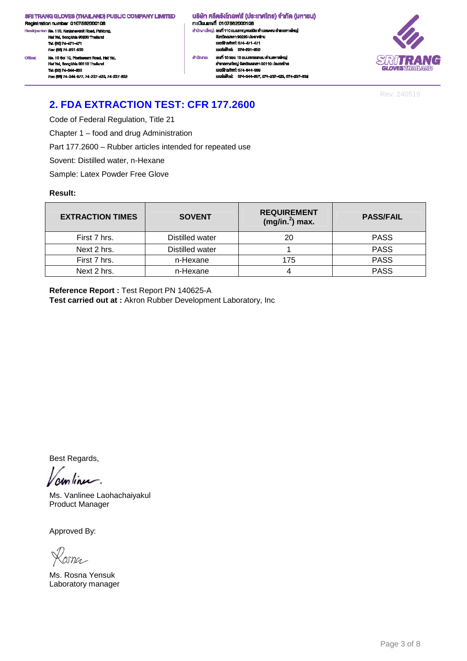Registration number 0107562000106 .<br>ciquarter: No. 110, Kanjanavanit Road, Pahtong, He Hat Yai, Songkhla 90230 Thailand<br>Tai: (66) 74-471-471 Fex: (66) 74-201-650 No. 10 Soi 10, Phetkasem Road, Hat Yal, Office Hat Yai, Songkhia 90110 Thailand Tel: (66) 74-344-663

Fec: (66) 74-344-677, 74-237-423, 74-237-832

้ บริษัท ศรีตรังโทลฟส์ (ประเทศไทย) จำกัด (มหาชน) าะเบียนเลงที่ 0107562000106 สำนักงานใหญ่: เสงที่ 110 ถนนกาญจนวนิช พำบลพะตง อำเภอหาดใหญ่ งังหวัดสงหลา 90230 ประเทศไทย<br>เบอร์โทรศัพท์: 074-471-471 New York 1974-201-650 เลฟที่ 10 ซอย 10 ถนนเพชรเกษม ดำนลหาดใหญ่ ahūninu: อำเภอหาคใหญ่ จังหวัดสงขลา 90110 ประเทศไทย IUDS TrishWrf: 074-344-003

เบอร์แพ็กซ์: 074-344-667, 074-237-423, 074-237-632



Rev: 240519

# **2. FDA EXTRACTION TEST: CFR 177.2600**

Code of Federal Regulation, Title 21

Chapter 1 – food and drug Administration

Part 177.2600 – Rubber articles intended for repeated use

Sovent: Distilled water, n-Hexane

Sample: Latex Powder Free Glove

#### **Result:**

| <b>EXTRACTION TIMES</b> | <b>SOVENT</b>   | <b>REQUIREMENT</b><br>$(mg/in.2)$ max. | <b>PASS/FAIL</b> |
|-------------------------|-----------------|----------------------------------------|------------------|
| First 7 hrs.            | Distilled water | 20                                     | <b>PASS</b>      |
| Next 2 hrs.             | Distilled water |                                        | <b>PASS</b>      |
| First 7 hrs.            | n-Hexane        | 175                                    | <b>PASS</b>      |
| Next 2 hrs.             | n-Hexane        |                                        | <b>PASS</b>      |

**Reference Report :** Test Report PN 140625-A **Test carried out at :** Akron Rubber Development Laboratory, Inc

Best Regards,

continue.

Ms. Vanlinee Laohachaiyakul Product Manager

asna

Ms. Rosna Yensuk Laboratory manager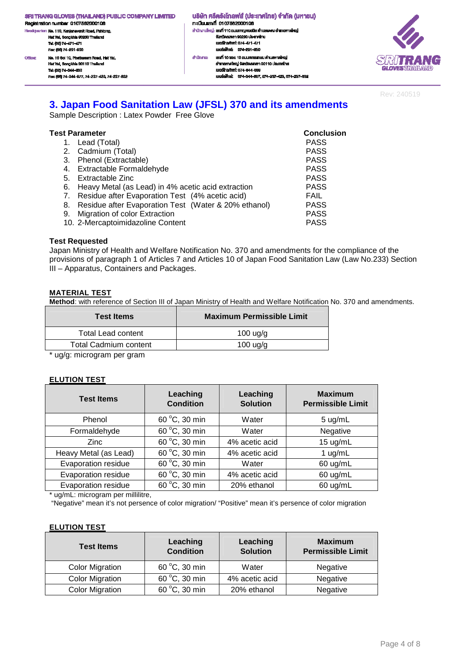.<br>dquarter: No. 110, Kanjanavanit Road, Pahtong, H. Hat Yai, Songkhla 90230 Thailand Tel: (66) 74-471-471 Fex: (66) 74-201-660 No. 10 Soi 10, Phetkasem Road, Hat Yal, Office: Hat Yai, Songkhia 90110 Thailand Tel: (66) 74-344-663 Fec: (66) 74-344-677, 74-237-423, 74-237-832 ้ บริษัท ศรีตรังโทลฟส์ (ประเทศไทย) จำกัด (มหาชน) n: เมียนเลงที่ 0107562000106 สำนักงานใหญ่: เสงที่ 110 ถนนกาญจนอนิช ด้านสพะดง อำเภอคาดใหญ่ งังหวัดสงหลา 90230 ประเทศไทย<br>เบอร์โทรศัพท์: 074-471-471 เมอร์เพ็กล่ะ 074-201-650 เลฟที่ 10 ซอย 10 ถนนเพชรเกษม ดำนลหาดใหญ่ สำนักงาน: อำเภอหาคใหญ่ จังหวัดสงขลา 90110 ประเทศไทย IUDS TrishWrf: 074-344-003 เนอร์เพ็กซ์: 074-344-667, 074-237-423, 074-237-632



Rev: 240519

### **3. Japan Food Sanitation Law (JFSL) 370 and its amendments**

Sample Description : Latex Powder Free Glove

| Test Parameter                                          | <b>Conclusion</b> |
|---------------------------------------------------------|-------------------|
| 1. Lead (Total)                                         | <b>PASS</b>       |
| 2. Cadmium (Total)                                      | <b>PASS</b>       |
| 3. Phenol (Extractable)                                 | <b>PASS</b>       |
| 4. Extractable Formaldehyde                             | <b>PASS</b>       |
| 5. Extractable Zinc                                     | <b>PASS</b>       |
| 6. Heavy Metal (as Lead) in 4% acetic acid extraction   | <b>PASS</b>       |
| 7. Residue after Evaporation Test (4% acetic acid)      | <b>FAIL</b>       |
| 8. Residue after Evaporation Test (Water & 20% ethanol) | <b>PASS</b>       |
| 9. Migration of color Extraction                        | <b>PASS</b>       |
| 10. 2-Mercaptoimidazoline Content                       | <b>PASS</b>       |

#### **Test Requested**

Japan Ministry of Health and Welfare Notification No. 370 and amendments for the compliance of the provisions of paragraph 1 of Articles 7 and Articles 10 of Japan Food Sanitation Law (Law No.233) Section III – Apparatus, Containers and Packages.

#### **MATERIAL TEST**

**Method**: with reference of Section III of Japan Ministry of Health and Welfare Notification No. 370 and amendments.

| <b>Test Items</b>            | <b>Maximum Permissible Limit</b> |
|------------------------------|----------------------------------|
| Total Lead content           | 100 uq/q                         |
| <b>Total Cadmium content</b> | $100 \text{ u}g/g$               |
|                              |                                  |

\* ug/g: microgram per gram

#### **ELUTION TEST**

| <b>Test Items</b>     | Leaching<br><b>Condition</b> | Leaching<br><b>Solution</b> | <b>Maximum</b><br><b>Permissible Limit</b> |
|-----------------------|------------------------------|-----------------------------|--------------------------------------------|
| Phenol                | 60 °C, 30 min                | Water                       | 5 ug/mL                                    |
| Formaldehyde          | 60 °C, 30 min                | Water                       | Negative                                   |
| <b>Zinc</b>           | 60 °C, 30 min                | 4% acetic acid              | 15 ug/mL                                   |
| Heavy Metal (as Lead) | 60 °C, 30 min                | 4% acetic acid              | 1 $ug/mL$                                  |
| Evaporation residue   | 60 °C, 30 min                | Water                       | 60 ug/mL                                   |
| Evaporation residue   | 60 °C, 30 min                | 4% acetic acid              | 60 ug/mL                                   |
| Evaporation residue   | 60 °C, 30 min                | 20% ethanol                 | 60 ug/mL                                   |

\* ug/mL: microgram per millilitre,

"Negative" mean it's not persence of color migration/ "Positive" mean it's persence of color migration

#### **ELUTION TEST**

| <b>Test Items</b>      | Leaching<br><b>Condition</b> | Leaching<br><b>Solution</b> | <b>Maximum</b><br><b>Permissible Limit</b> |
|------------------------|------------------------------|-----------------------------|--------------------------------------------|
| <b>Color Migration</b> | 60 °C, 30 min                | Water                       | Negative                                   |
| <b>Color Migration</b> | 60 °C, 30 min                | 4% acetic acid              | Negative                                   |
| <b>Color Migration</b> | 60 °C, 30 min                | 20% ethanol                 | Negative                                   |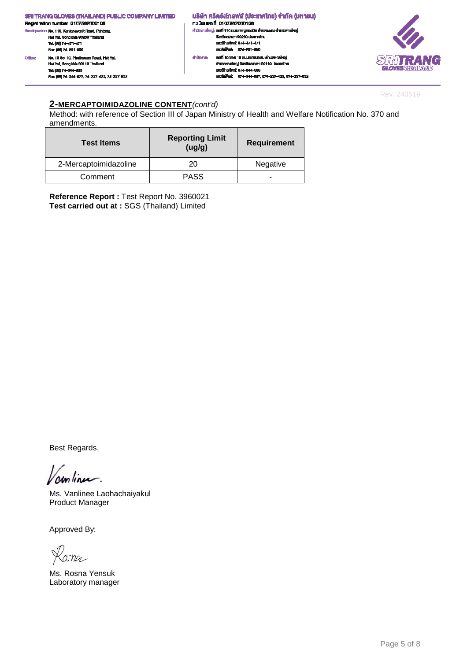

Rev: 240519

#### **2-MERCAPTOIMIDAZOLINE CONTENT**(cont'd)

Method: with reference of Section III of Japan Ministry of Health and Welfare Notification No. 370 and amendments.

| <b>Test Items</b>     | <b>Reporting Limit</b><br>(ug/g) | <b>Requirement</b> |
|-----------------------|----------------------------------|--------------------|
| 2-Mercaptoimidazoline | 20                               | Negative           |
| Comment               | <b>PASS</b>                      |                    |

**Reference Report :** Test Report No. 3960021 **Test carried out at :** SGS (Thailand) Limited

Best Regards,

continu.

Ms. Vanlinee Laohachaiyakul Product Manager

Kasna

Ms. Rosna Yensuk Laboratory manager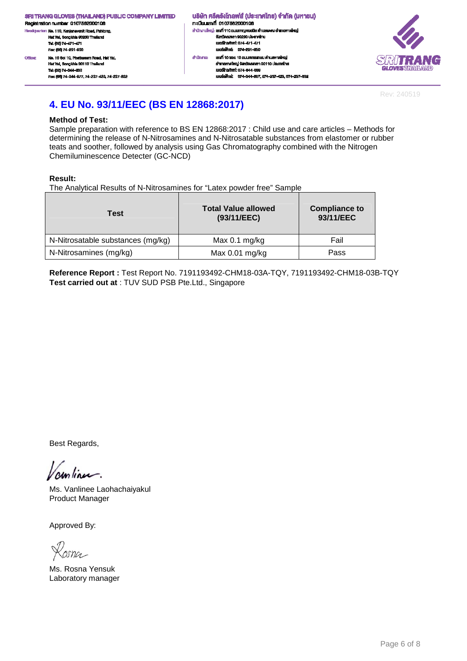.<br>dquarter: No. 110, Kanjanavanit Road, Pahtong, H. Hat Yai, Songkhla 90230 Thailand Tel: (66) 74-471-471 Fex: (66) 74-201-660 No. 10 Soi 10, Phetkasem Road, Hat Yal, Office: Hat Yai, Songkhla 90110 Thailand Tel: (66) 74-344-663 Fec: (66) 74-344-677, 74-237-423, 74-237-832 ้นธิษัท ศรีตรังโทลฟส์ (ประเทศไทย) จำกัด (มหาชน) n: เมียนเลงที่ 0107562000106 สำนักงานใหญ่: เสงที่ 110 ถนนกาญจนอนิช ด้านสพะดง อำเภอคาดใหญ่ งังหวัดสงพลา 90230 ประเทศไทย<br>เบอร์โทรศัพท์: 074-471-471 เนอร์เฟ็กล่ะ 074-291-650 เลฟที่ 10 ซอย 10 ถนนเพชรเกษม ดำนลหาดใหญ่ ahūninu: อำเภอหาคใหญ่ จังหวัดสมุขยา 90110 ประเทศไทย IUDS TrishWrf: 074-344-003 เบอร์เพ็กซ์: 074-344-667.074-237-423.074-237-632



Rev: 240519

# **4. EU No. 93/11/EEC (BS EN 12868:2017)**

#### **Method of Test:**

Sample preparation with reference to BS EN 12868:2017 : Child use and care articles – Methods for determining the release of N-Nitrosamines and N-Nitrosatable substances from elastomer or rubber teats and soother, followed by analysis using Gas Chromatography combined with the Nitrogen Chemiluminescence Detecter (GC-NCD)

#### **Result:**

The Analytical Results of N-Nitrosamines for "Latex powder free" Sample

| Test                              | <b>Total Value allowed</b><br>(93/11/EEC) | <b>Compliance to</b><br>93/11/EEC |
|-----------------------------------|-------------------------------------------|-----------------------------------|
| N-Nitrosatable substances (mg/kg) | Max $0.1$ mg/kg                           | Fail                              |
| N-Nitrosamines (mg/kg)            | Max $0.01$ mg/kg                          | Pass                              |

**Reference Report :** Test Report No. 7191193492-CHM18-03A-TQY, 7191193492-CHM18-03B-TQY **Test carried out at** : TUV SUD PSB Pte.Ltd., Singapore

Best Regards,

continu.

Ms. Vanlinee Laohachaiyakul Product Manager

osna

Ms. Rosna Yensuk Laboratory manager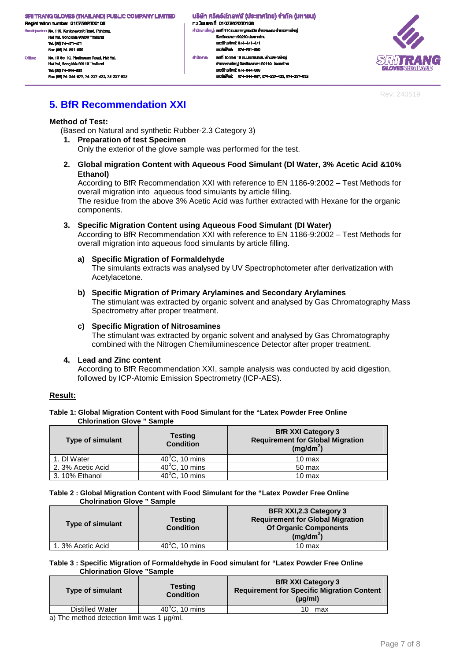Registration number 0107562000106 dquarter: No. 110, Kanjanavanit Road, Pahtong, Hat Yai, Songkhla 90230 Thailand Tel: (66) 74-471-471 Fex: (66) 74-291-650 No. 10 Soi 10, Phetkasern Road, Hat Yal, Office: Hat Yai, Songkhla 90110 Thaila

Tel: (66) 74-344-663 Fex: (66) 74-344-677, 74-237-423, 74-237-632

้นธิษัท ศรีตรังโทลฟส์ (ประเทศไทย) จำกัด (มหาชน) กะเบียนเลงที่ 0107562000106 สำนักงานใหญ่: เสงที่ 110 ถนนกาญจนอนิช ด้านสพะดง อำเภอคาดใหญ่ งังหวัดสงพลา 90230 ประเทศไทย LINGTON MOTOR 074-471-471 เนอร์เฟิกล่ะ 074-201-650 สำนักงาน: เองที่ 10 ขอย 10 ถนนเพชรเกษม คำบลหาคใหญ่ อำเภอหาคใหญ่ จังหวัดสงขลา 90110 ประเทศไทย IUDS TrishWrf: 074-344-003

และเพื่อน่ะ 074-344-667 074-237-423 074-237-832



Rev: 240519

### **5. BfR Recommendation XXI**

#### **Method of Test:**

(Based on Natural and synthetic Rubber-2.3 Category 3)

**1. Preparation of test Specimen** 

Only the exterior of the glove sample was performed for the test.

**2. Global migration Content with Aqueous Food Simulant (Dl Water, 3% Acetic Acid &10% Ethanol)** 

According to BfR Recommendation XXI with reference to EN 1186-9:2002 – Test Methods for overall migration into aqueous food simulants by article filling.

The residue from the above 3% Acetic Acid was further extracted with Hexane for the organic components.

#### **3. Specific Migration Content using Aqueous Food Simulant (DI Water)**

According to BfR Recommendation XXI with reference to EN 1186-9:2002 – Test Methods for overall migration into aqueous food simulants by article filling.

#### **a) Specific Migration of Formaldehyde**

The simulants extracts was analysed by UV Spectrophotometer after derivatization with Acetylacetone.

#### **b) Specific Migration of Primary Arylamines and Secondary Arylamines**

The stimulant was extracted by organic solvent and analysed by Gas Chromatography Mass Spectrometry after proper treatment.

#### **c) Specific Migration of Nitrosamines**

The stimulant was extracted by organic solvent and analysed by Gas Chromatography combined with the Nitrogen Chemiluminescence Detector after proper treatment.

#### **4. Lead and Zinc content**

According to BfR Recommendation XXI, sample analysis was conducted by acid digestion, followed by ICP-Atomic Emission Spectrometry (ICP-AES).

#### **Result:**

#### **Table 1: Global Migration Content with Food Simulant for the "Latex Powder Free Online Chlorination Glove " Sample**

| <b>Type of simulant</b> | <b>Testing</b><br><b>Condition</b> | <b>BfR XXI Category 3</b><br><b>Requirement for Global Migration</b><br>$(mg/dm^2)$ |
|-------------------------|------------------------------------|-------------------------------------------------------------------------------------|
| 1. DI Water             | $40^{\circ}$ C, 10 mins            | 10 max                                                                              |
| 2. 3% Acetic Acid       | $40^{\circ}$ C, 10 mins            | 50 max                                                                              |
| 3.10% Ethanol           | $40^{\circ}$ C, 10 mins            | 10 max                                                                              |

#### **Table 2 : Global Migration Content with Food Simulant for the "Latex Powder Free Online Cholrination Glove " Sample**

| <b>Type of simulant</b> | Testing<br><b>Condition</b> | <b>BFR XXI, 2.3 Category 3</b><br><b>Requirement for Global Migration</b><br><b>Of Organic Components</b><br>$(mg/dm^2)$ |
|-------------------------|-----------------------------|--------------------------------------------------------------------------------------------------------------------------|
| 1.3% Acetic Acid        | $40^{\circ}$ C, 10 mins     | 10 max                                                                                                                   |

#### **Table 3 : Specific Migration of Formaldehyde in Food simulant for "Latex Powder Free Online Chlorination Glove "Sample**

| <b>Type of simulant</b> | <b>Testing</b><br><b>Condition</b> | <b>BfR XXI Category 3</b><br><b>Requirement for Specific Migration Content</b><br>$(\mu q/ml)$ |
|-------------------------|------------------------------------|------------------------------------------------------------------------------------------------|
| Distilled Water         | $40^{\circ}$ C. 10 mins            | 10<br>max                                                                                      |
|                         |                                    |                                                                                                |

a) The method detection limit was 1  $\mu$ g/ml.